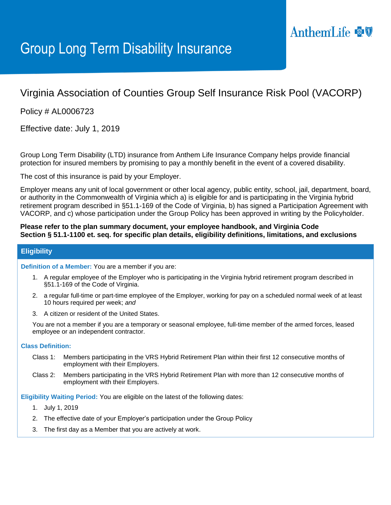# AnthemLife

# Group Long Term Disability Insurance

## Virginia Association of Counties Group Self Insurance Risk Pool (VACORP)

Policy # AL0006723

Effective date: July 1, 2019

Group Long Term Disability (LTD) insurance from Anthem Life Insurance Company helps provide financial protection for insured members by promising to pay a monthly benefit in the event of a covered disability.

The cost of this insurance is paid by your Employer.

Employer means any unit of local government or other local agency, public entity, school, jail, department, board, or authority in the Commonwealth of Virginia which a) is eligible for and is participating in the Virginia hybrid retirement program described in §51.1-169 of the Code of Virginia, b) has signed a Participation Agreement with VACORP, and c) whose participation under the Group Policy has been approved in writing by the Policyholder.

**Please refer to the plan summary document, your employee handbook, and Virginia Code Section § 51.1-1100 et. seq. for specific plan details, eligibility definitions, limitations, and exclusions** 

### **Eligibility**

**Definition of a Member:** You are a member if you are:

- 1. A regular employee of the Employer who is participating in the Virginia hybrid retirement program described in §51.1-169 of the Code of Virginia.
- 2. a regular full-time or part-time employee of the Employer, working for pay on a scheduled normal week of at least 10 hours required per week; *and*
- 3. A citizen or resident of the United States.

You are not a member if you are a temporary or seasonal employee, full-time member of the armed forces, leased employee or an independent contractor.

#### **Class Definition:**

- Class 1: Members participating in the VRS Hybrid Retirement Plan within their first 12 consecutive months of employment with their Employers.
- Class 2: Members participating in the VRS Hybrid Retirement Plan with more than 12 consecutive months of employment with their Employers.

**Eligibility Waiting Period:** You are eligible on the latest of the following dates:

- 1. July 1, 2019
- 2. The effective date of your Employer's participation under the Group Policy
- 3. The first day as a Member that you are actively at work.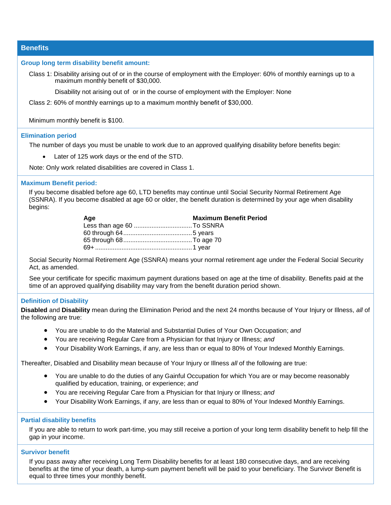**Benefits**

#### **Group long term disability benefit amount:**

Class 1: Disability arising out of or in the course of employment with the Employer: 60% of monthly earnings up to a maximum monthly benefit of \$30,000.

Disability not arising out of or in the course of employment with the Employer: None

Class 2: 60% of monthly earnings up to a maximum monthly benefit of \$30,000.

Minimum monthly benefit is \$100.

#### **Elimination period**

The number of days you must be unable to work due to an approved qualifying disability before benefits begin:

Later of 125 work days or the end of the STD.

Note: Only work related disabilities are covered in Class 1.

#### **Maximum Benefit period:**

If you become disabled before age 60, LTD benefits may continue until Social Security Normal Retirement Age (SSNRA). If you become disabled at age 60 or older, the benefit duration is determined by your age when disability begins:

| Age | <b>Maximum Benefit Period</b> |
|-----|-------------------------------|
|     |                               |
|     |                               |
|     |                               |
|     |                               |

Social Security Normal Retirement Age (SSNRA) means your normal retirement age under the Federal Social Security Act, as amended.

See your certificate for specific maximum payment durations based on age at the time of disability. Benefits paid at the time of an approved qualifying disability may vary from the benefit duration period shown.

#### **Definition of Disability**

**Disabled** and **Disability** mean during the Elimination Period and the next 24 months because of Your Injury or Illness, *all* of the following are true:

- You are unable to do the Material and Substantial Duties of Your Own Occupation; *and*
- You are receiving Regular Care from a Physician for that Injury or Illness; *and*
- Your Disability Work Earnings, if any, are less than or equal to 80% of Your Indexed Monthly Earnings.

Thereafter, Disabled and Disability mean because of Your Injury or Illness *all* of the following are true:

- You are unable to do the duties of any Gainful Occupation for which You are or may become reasonably qualified by education, training, or experience; *and*
- You are receiving Regular Care from a Physician for that Injury or Illness; *and*
- Your Disability Work Earnings, if any, are less than or equal to 80% of Your Indexed Monthly Earnings.

#### **Partial disability benefits**

If you are able to return to work part-time, you may still receive a portion of your long term disability benefit to help fill the gap in your income.

#### **Survivor benefit**

If you pass away after receiving Long Term Disability benefits for at least 180 consecutive days, and are receiving benefits at the time of your death, a lump-sum payment benefit will be paid to your beneficiary. The Survivor Benefit is equal to three times your monthly benefit.